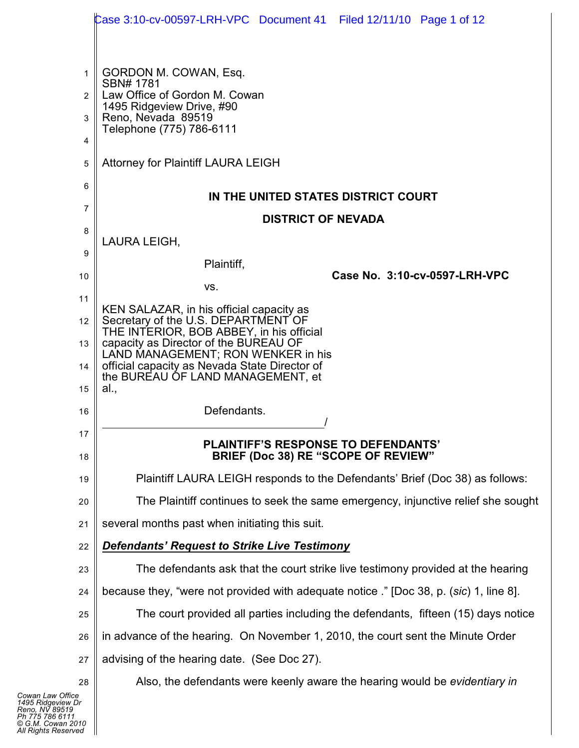|                | Case 3:10-cv-00597-LRH-VPC Document 41 Filed 12/11/10 Page 1 of 12                       |  |  |  |  |  |  |  |
|----------------|------------------------------------------------------------------------------------------|--|--|--|--|--|--|--|
|                |                                                                                          |  |  |  |  |  |  |  |
| 1              | GORDON M. COWAN, Esq.                                                                    |  |  |  |  |  |  |  |
| $\overline{2}$ | SBN# 1781<br>Law Office of Gordon M. Cowan                                               |  |  |  |  |  |  |  |
| 3              | 1495 Ridgeview Drive, #90<br>Reno, Nevada 89519                                          |  |  |  |  |  |  |  |
| 4              | Telephone (775) 786-6111                                                                 |  |  |  |  |  |  |  |
| 5              | Attorney for Plaintiff LAURA LEIGH                                                       |  |  |  |  |  |  |  |
| 6              | IN THE UNITED STATES DISTRICT COURT                                                      |  |  |  |  |  |  |  |
| 7              | <b>DISTRICT OF NEVADA</b>                                                                |  |  |  |  |  |  |  |
| 8              | LAURA LEIGH,                                                                             |  |  |  |  |  |  |  |
| 9              | Plaintiff,                                                                               |  |  |  |  |  |  |  |
| 10             | Case No. 3:10-cv-0597-LRH-VPC<br>VS.                                                     |  |  |  |  |  |  |  |
| 11             | KEN SALAZAR, in his official capacity as                                                 |  |  |  |  |  |  |  |
| 12             | Secretary of the U.S. DEPARTMENT OF<br>THE INTERIOR, BOB ABBEY, in his official          |  |  |  |  |  |  |  |
| 13             | capacity as Director of the BUREAU OF<br>LAND MANAGEMENT; RON WENKER in his              |  |  |  |  |  |  |  |
| 14             | official capacity as Nevada State Director of<br>the BUREAU OF LAND MANAGEMENT, et       |  |  |  |  |  |  |  |
| 15             | al.,                                                                                     |  |  |  |  |  |  |  |
| 16             | Defendants.                                                                              |  |  |  |  |  |  |  |
| 17<br>18       | <b>PLAINTIFF'S RESPONSE TO DEFENDANTS'</b><br><b>BRIEF (Doc 38) RE "SCOPE OF REVIEW"</b> |  |  |  |  |  |  |  |
| 19             | Plaintiff LAURA LEIGH responds to the Defendants' Brief (Doc 38) as follows:             |  |  |  |  |  |  |  |
| 20             | The Plaintiff continues to seek the same emergency, injunctive relief she sought         |  |  |  |  |  |  |  |
| 21             | several months past when initiating this suit.                                           |  |  |  |  |  |  |  |
| 22             | <b>Defendants' Request to Strike Live Testimony</b>                                      |  |  |  |  |  |  |  |
| 23             | The defendants ask that the court strike live testimony provided at the hearing          |  |  |  |  |  |  |  |
| 24             | because they, "were not provided with adequate notice". [Doc 38, p. (sic) 1, line 8].    |  |  |  |  |  |  |  |
| 25             | The court provided all parties including the defendants, fifteen (15) days notice        |  |  |  |  |  |  |  |
| 26             | in advance of the hearing. On November 1, 2010, the court sent the Minute Order          |  |  |  |  |  |  |  |
| 27             | advising of the hearing date. (See Doc 27).                                              |  |  |  |  |  |  |  |
| 28             | Also, the defendants were keenly aware the hearing would be evidentiary in               |  |  |  |  |  |  |  |
| e<br>Dr        |                                                                                          |  |  |  |  |  |  |  |

 $\mathbf{l}$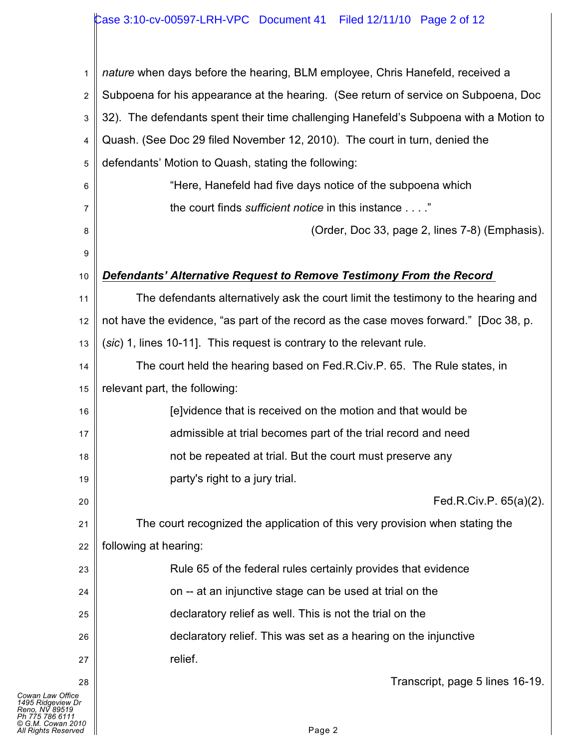## Case 3:10-cv-00597-LRH-VPC Document 41 Filed 12/11/10 Page 2 of 12

| 1                                                                                                                      | nature when days before the hearing, BLM employee, Chris Hanefeld, received a         |  |  |  |  |  |
|------------------------------------------------------------------------------------------------------------------------|---------------------------------------------------------------------------------------|--|--|--|--|--|
| 2                                                                                                                      | Subpoena for his appearance at the hearing. (See return of service on Subpoena, Doc   |  |  |  |  |  |
| 3                                                                                                                      | 32). The defendants spent their time challenging Hanefeld's Subpoena with a Motion to |  |  |  |  |  |
| Quash. (See Doc 29 filed November 12, 2010). The court in turn, denied the<br>4                                        |                                                                                       |  |  |  |  |  |
| defendants' Motion to Quash, stating the following:<br>5                                                               |                                                                                       |  |  |  |  |  |
| 6                                                                                                                      | "Here, Hanefeld had five days notice of the subpoena which                            |  |  |  |  |  |
| 7                                                                                                                      | the court finds sufficient notice in this instance"                                   |  |  |  |  |  |
| 8                                                                                                                      | (Order, Doc 33, page 2, lines 7-8) (Emphasis).                                        |  |  |  |  |  |
| 9                                                                                                                      |                                                                                       |  |  |  |  |  |
| 10                                                                                                                     | Defendants' Alternative Request to Remove Testimony From the Record                   |  |  |  |  |  |
| 11                                                                                                                     | The defendants alternatively ask the court limit the testimony to the hearing and     |  |  |  |  |  |
| 12                                                                                                                     | not have the evidence, "as part of the record as the case moves forward." [Doc 38, p. |  |  |  |  |  |
| 13                                                                                                                     | (sic) 1, lines 10-11]. This request is contrary to the relevant rule.                 |  |  |  |  |  |
| 14                                                                                                                     | The court held the hearing based on Fed.R.Civ.P. 65. The Rule states, in              |  |  |  |  |  |
| 15                                                                                                                     | relevant part, the following:                                                         |  |  |  |  |  |
| 16                                                                                                                     | [e] vidence that is received on the motion and that would be                          |  |  |  |  |  |
| 17                                                                                                                     | admissible at trial becomes part of the trial record and need                         |  |  |  |  |  |
| 18                                                                                                                     | not be repeated at trial. But the court must preserve any                             |  |  |  |  |  |
| 19                                                                                                                     | party's right to a jury trial.                                                        |  |  |  |  |  |
| 20                                                                                                                     | Fed.R.Civ.P. 65(a)(2).                                                                |  |  |  |  |  |
| 21                                                                                                                     | The court recognized the application of this very provision when stating the          |  |  |  |  |  |
| 22                                                                                                                     | following at hearing:                                                                 |  |  |  |  |  |
| 23                                                                                                                     | Rule 65 of the federal rules certainly provides that evidence                         |  |  |  |  |  |
| 24                                                                                                                     | on -- at an injunctive stage can be used at trial on the                              |  |  |  |  |  |
| 25                                                                                                                     | declaratory relief as well. This is not the trial on the                              |  |  |  |  |  |
| 26                                                                                                                     | declaratory relief. This was set as a hearing on the injunctive                       |  |  |  |  |  |
| 27                                                                                                                     | relief.                                                                               |  |  |  |  |  |
| 28                                                                                                                     | Transcript, page 5 lines 16-19.                                                       |  |  |  |  |  |
| Cowan Law Office<br>1495 Ridgeview Dr<br>Reno. NV 89519<br>Ph 775 786 6111<br>© G.M. Cowan 2010<br>All Rights Reserved | Page 2                                                                                |  |  |  |  |  |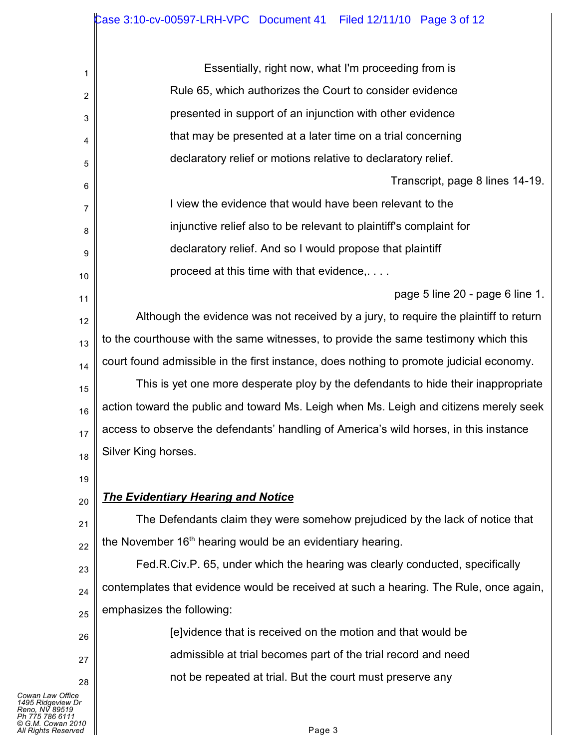| 1              | Essentially, right now, what I'm proceeding from is                                     |  |  |  |  |  |  |
|----------------|-----------------------------------------------------------------------------------------|--|--|--|--|--|--|
| $\overline{2}$ | Rule 65, which authorizes the Court to consider evidence                                |  |  |  |  |  |  |
| 3              | presented in support of an injunction with other evidence                               |  |  |  |  |  |  |
| 4              | that may be presented at a later time on a trial concerning                             |  |  |  |  |  |  |
| 5              | declaratory relief or motions relative to declaratory relief.                           |  |  |  |  |  |  |
| 6              | Transcript, page 8 lines 14-19.                                                         |  |  |  |  |  |  |
| 7              | I view the evidence that would have been relevant to the                                |  |  |  |  |  |  |
| 8              | injunctive relief also to be relevant to plaintiff's complaint for                      |  |  |  |  |  |  |
| 9              | declaratory relief. And so I would propose that plaintiff                               |  |  |  |  |  |  |
| 10             | proceed at this time with that evidence,                                                |  |  |  |  |  |  |
| 11             | page 5 line 20 - page 6 line 1.                                                         |  |  |  |  |  |  |
| 12             | Although the evidence was not received by a jury, to require the plaintiff to return    |  |  |  |  |  |  |
| 13             | to the courthouse with the same witnesses, to provide the same testimony which this     |  |  |  |  |  |  |
| 14             | court found admissible in the first instance, does nothing to promote judicial economy. |  |  |  |  |  |  |
| 15             | This is yet one more desperate ploy by the defendants to hide their inappropriate       |  |  |  |  |  |  |
| 16             | action toward the public and toward Ms. Leigh when Ms. Leigh and citizens merely seek   |  |  |  |  |  |  |
| 17             | access to observe the defendants' handling of America's wild horses, in this instance   |  |  |  |  |  |  |
| 18             | Silver King horses.                                                                     |  |  |  |  |  |  |
| 19             |                                                                                         |  |  |  |  |  |  |
| 20             | <b>The Evidentiary Hearing and Notice</b>                                               |  |  |  |  |  |  |
| 21             | The Defendants claim they were somehow prejudiced by the lack of notice that            |  |  |  |  |  |  |
| 22             | the November 16 <sup>th</sup> hearing would be an evidentiary hearing.                  |  |  |  |  |  |  |
| 23             | Fed.R.Civ.P. 65, under which the hearing was clearly conducted, specifically            |  |  |  |  |  |  |
| 24             | contemplates that evidence would be received at such a hearing. The Rule, once again,   |  |  |  |  |  |  |
| 25             | emphasizes the following:                                                               |  |  |  |  |  |  |
| 26             | (e) vidence that is received on the motion and that would be                            |  |  |  |  |  |  |
| 27             | admissible at trial becomes part of the trial record and need                           |  |  |  |  |  |  |

not be repeated at trial. But the court must preserve any

28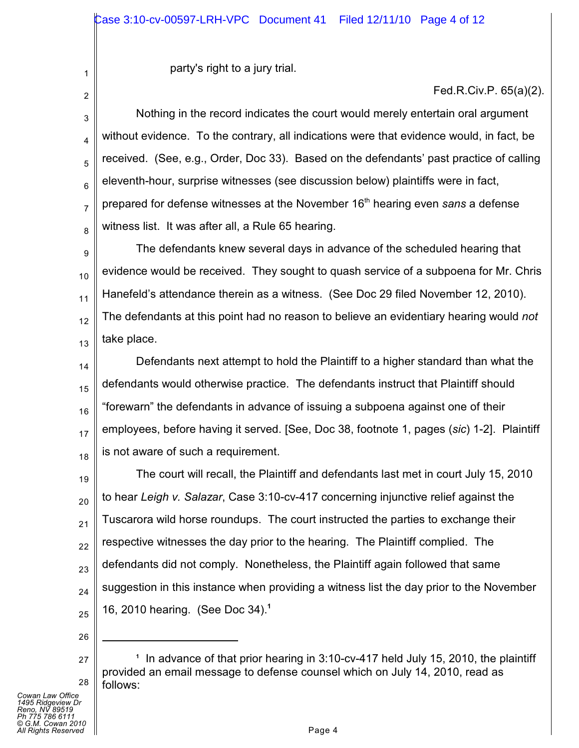party's right to a jury trial.

Fed.R.Civ.P. 65(a)(2).

3 4 5 6 7 8 Nothing in the record indicates the court would merely entertain oral argument without evidence. To the contrary, all indications were that evidence would, in fact, be received. (See, e.g., Order, Doc 33). Based on the defendants' past practice of calling eleventh-hour, surprise witnesses (see discussion below) plaintiffs were in fact, prepared for defense witnesses at the November 16<sup>th</sup> hearing even *sans* a defense witness list. It was after all, a Rule 65 hearing.

9 10 11 12 13 The defendants knew several days in advance of the scheduled hearing that evidence would be received. They sought to quash service of a subpoena for Mr. Chris Hanefeld's attendance therein as a witness. (See Doc 29 filed November 12, 2010). The defendants at this point had no reason to believe an evidentiary hearing would *not* take place.

14 15 16 17 18 Defendants next attempt to hold the Plaintiff to a higher standard than what the defendants would otherwise practice. The defendants instruct that Plaintiff should "forewarn" the defendants in advance of issuing a subpoena against one of their employees, before having it served. [See, Doc 38, footnote 1, pages (*sic*) 1-2]. Plaintiff is not aware of such a requirement.

19 20 21 22 23 24 25 The court will recall, the Plaintiff and defendants last met in court July 15, 2010 to hear *Leigh v. Salazar*, Case 3:10-cv-417 concerning injunctive relief against the Tuscarora wild horse roundups. The court instructed the parties to exchange their respective witnesses the day prior to the hearing. The Plaintiff complied. The defendants did not comply. Nonetheless, the Plaintiff again followed that same suggestion in this instance when providing a witness list the day prior to the November 16, 2010 hearing. (See Doc 34).**<sup>1</sup>**

26

1

2

<sup>27</sup> 28 <sup>1</sup> In advance of that prior hearing in 3:10-cv-417 held July 15, 2010, the plaintiff provided an email message to defense counsel which on July 14, 2010, read as follows: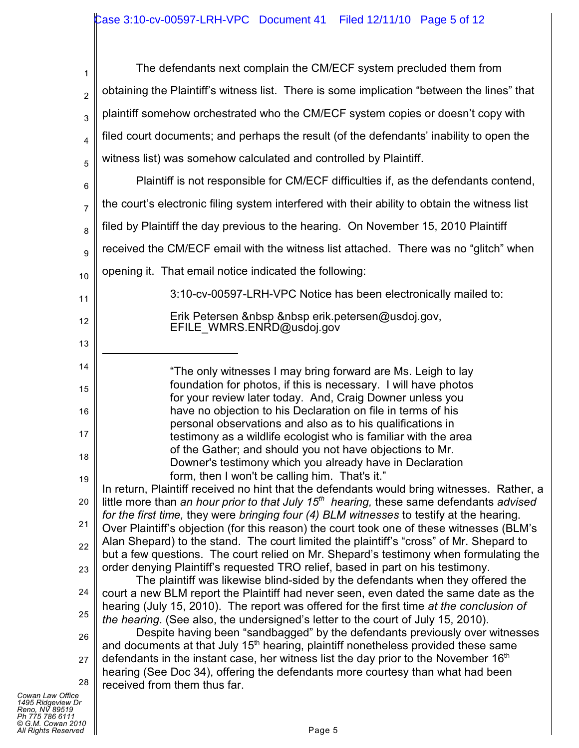| 1                                                                             | The defendants next complain the CM/ECF system precluded them from                                                                                                                       |  |  |  |  |  |  |
|-------------------------------------------------------------------------------|------------------------------------------------------------------------------------------------------------------------------------------------------------------------------------------|--|--|--|--|--|--|
| $\overline{2}$                                                                | obtaining the Plaintiff's witness list. There is some implication "between the lines" that                                                                                               |  |  |  |  |  |  |
| 3                                                                             | plaintiff somehow orchestrated who the CM/ECF system copies or doesn't copy with                                                                                                         |  |  |  |  |  |  |
| 4                                                                             | filed court documents; and perhaps the result (of the defendants' inability to open the                                                                                                  |  |  |  |  |  |  |
| 5                                                                             | witness list) was somehow calculated and controlled by Plaintiff.                                                                                                                        |  |  |  |  |  |  |
| 6                                                                             | Plaintiff is not responsible for CM/ECF difficulties if, as the defendants contend,                                                                                                      |  |  |  |  |  |  |
| 7                                                                             | the court's electronic filing system interfered with their ability to obtain the witness list<br>filed by Plaintiff the day previous to the hearing. On November 15, 2010 Plaintiff<br>8 |  |  |  |  |  |  |
|                                                                               |                                                                                                                                                                                          |  |  |  |  |  |  |
| 9                                                                             | received the CM/ECF email with the witness list attached. There was no "glitch" when                                                                                                     |  |  |  |  |  |  |
| 10                                                                            | opening it. That email notice indicated the following:                                                                                                                                   |  |  |  |  |  |  |
| 11                                                                            | 3:10-cv-00597-LRH-VPC Notice has been electronically mailed to:                                                                                                                          |  |  |  |  |  |  |
| 12                                                                            | Erik Petersen     erik.petersen@usdoj.gov,<br>EFILE WMRS.ENRD@usdoj.gov                                                                                                                  |  |  |  |  |  |  |
| 13                                                                            |                                                                                                                                                                                          |  |  |  |  |  |  |
| 14                                                                            | "The only witnesses I may bring forward are Ms. Leigh to lay                                                                                                                             |  |  |  |  |  |  |
| 15                                                                            | foundation for photos, if this is necessary. I will have photos<br>for your review later today. And, Craig Downer unless you                                                             |  |  |  |  |  |  |
| 16                                                                            | have no objection to his Declaration on file in terms of his                                                                                                                             |  |  |  |  |  |  |
| 17                                                                            | personal observations and also as to his qualifications in<br>testimony as a wildlife ecologist who is familiar with the area                                                            |  |  |  |  |  |  |
| 18                                                                            | of the Gather; and should you not have objections to Mr.<br>Downer's testimony which you already have in Declaration                                                                     |  |  |  |  |  |  |
| 19                                                                            | form, then I won't be calling him. That's it."                                                                                                                                           |  |  |  |  |  |  |
| 20                                                                            | In return, Plaintiff received no hint that the defendants would bring witnesses. Rather, a<br>little more than an hour prior to that July $15th$ hearing, these same defendants advised  |  |  |  |  |  |  |
| 21                                                                            | for the first time, they were bringing four (4) BLM witnesses to testify at the hearing.<br>Over Plaintiff's objection (for this reason) the court took one of these witnesses (BLM's    |  |  |  |  |  |  |
| 22                                                                            | Alan Shepard) to the stand. The court limited the plaintiff's "cross" of Mr. Shepard to<br>but a few questions. The court relied on Mr. Shepard's testimony when formulating the         |  |  |  |  |  |  |
| 23                                                                            | order denying Plaintiff's requested TRO relief, based in part on his testimony.                                                                                                          |  |  |  |  |  |  |
| 24                                                                            | The plaintiff was likewise blind-sided by the defendants when they offered the<br>court a new BLM report the Plaintiff had never seen, even dated the same date as the                   |  |  |  |  |  |  |
| 25                                                                            | hearing (July 15, 2010). The report was offered for the first time at the conclusion of<br>the hearing. (See also, the undersigned's letter to the court of July 15, 2010).              |  |  |  |  |  |  |
| 26                                                                            | Despite having been "sandbagged" by the defendants previously over witnesses<br>and documents at that July 15 <sup>th</sup> hearing, plaintiff nonetheless provided these same           |  |  |  |  |  |  |
| 27                                                                            | defendants in the instant case, her witness list the day prior to the November $16th$                                                                                                    |  |  |  |  |  |  |
| 28                                                                            | hearing (See Doc 34), offering the defendants more courtesy than what had been<br>received from them thus far.                                                                           |  |  |  |  |  |  |
| Cowan Law Office<br>1495 Ridgeview Dr                                         |                                                                                                                                                                                          |  |  |  |  |  |  |
| Reno, NV 89519<br>Ph 775 786 6111<br>© G.M. Cowan 2010<br>All Rights Reserved | Page 5                                                                                                                                                                                   |  |  |  |  |  |  |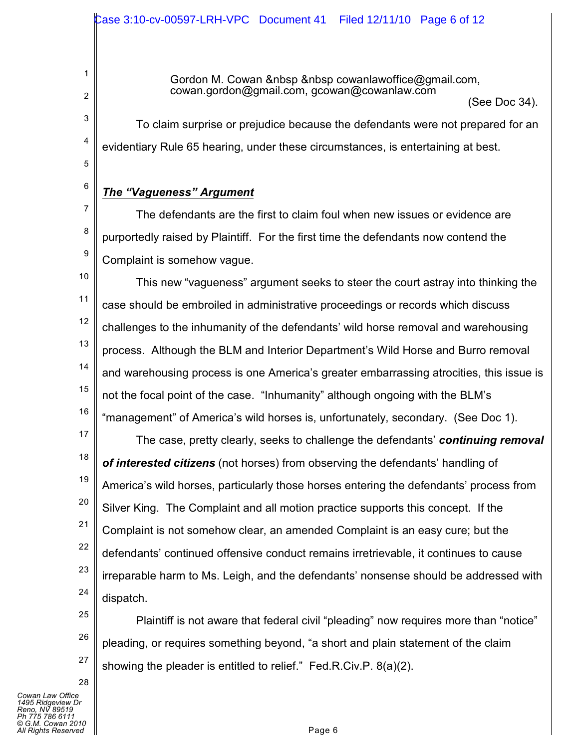Gordon M. Cowan & nbsp & nbsp cowanlawoffice  $@g$  mail.com, cowan.gordon@gmail.com, gcowan@cowanlaw.com

(See Doc 34).

To claim surprise or prejudice because the defendants were not prepared for an evidentiary Rule 65 hearing, under these circumstances, is entertaining at best.

*The "Vagueness" Argument*

1

2

3

4

5

6

7

8

9

The defendants are the first to claim foul when new issues or evidence are purportedly raised by Plaintiff. For the first time the defendants now contend the Complaint is somehow vague.

10 11 12 13 14 15 16 This new "vagueness" argument seeks to steer the court astray into thinking the case should be embroiled in administrative proceedings or records which discuss challenges to the inhumanity of the defendants' wild horse removal and warehousing process. Although the BLM and Interior Department's Wild Horse and Burro removal and warehousing process is one America's greater embarrassing atrocities, this issue is not the focal point of the case. "Inhumanity" although ongoing with the BLM's "management" of America's wild horses is, unfortunately, secondary. (See Doc 1).

17 18 19 20 21 22 23 24 The case, pretty clearly, seeks to challenge the defendants' *continuing removal of interested citizens* (not horses) from observing the defendants' handling of America's wild horses, particularly those horses entering the defendants' process from Silver King. The Complaint and all motion practice supports this concept. If the Complaint is not somehow clear, an amended Complaint is an easy cure; but the defendants' continued offensive conduct remains irretrievable, it continues to cause irreparable harm to Ms. Leigh, and the defendants' nonsense should be addressed with dispatch.

25 26 27 Plaintiff is not aware that federal civil "pleading" now requires more than "notice" pleading, or requires something beyond, "a short and plain statement of the claim showing the pleader is entitled to relief." Fed.R.Civ.P. 8(a)(2).

28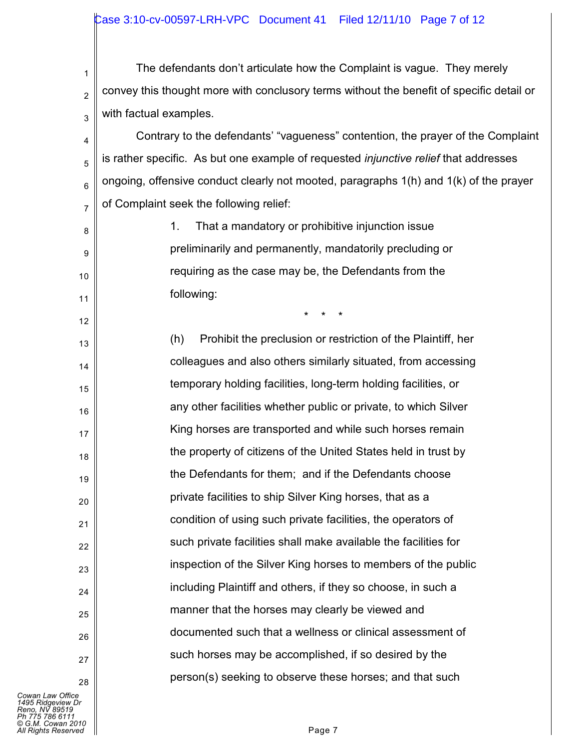### Case 3:10-cv-00597-LRH-VPC Document 41 Filed 12/11/10 Page 7 of 12

1 2 3 The defendants don't articulate how the Complaint is vague. They merely convey this thought more with conclusory terms without the benefit of specific detail or with factual examples.

4 5 6 7 Contrary to the defendants' "vagueness" contention, the prayer of the Complaint is rather specific. As but one example of requested *injunctive relief* that addresses ongoing, offensive conduct clearly not mooted, paragraphs 1(h) and 1(k) of the prayer of Complaint seek the following relief:

> 1. That a mandatory or prohibitive injunction issue preliminarily and permanently, mandatorily precluding or requiring as the case may be, the Defendants from the following:

> > \* \* \*

(h) Prohibit the preclusion or restriction of the Plaintiff, her colleagues and also others similarly situated, from accessing temporary holding facilities, long-term holding facilities, or any other facilities whether public or private, to which Silver King horses are transported and while such horses remain the property of citizens of the United States held in trust by the Defendants for them; and if the Defendants choose private facilities to ship Silver King horses, that as a condition of using such private facilities, the operators of such private facilities shall make available the facilities for inspection of the Silver King horses to members of the public including Plaintiff and others, if they so choose, in such a manner that the horses may clearly be viewed and documented such that a wellness or clinical assessment of such horses may be accomplished, if so desired by the person(s) seeking to observe these horses; and that such

*Cowan Law Office 1495 Ridgeview Dr Reno, NV 89519 Ph 775 786 6111 © G.M. Cowan 2010 All Rights Reserved* Page 7

8

9

10

11

12

13

14

15

16

17

18

19

20

21

22

23

 $24$ 

25

26

27

28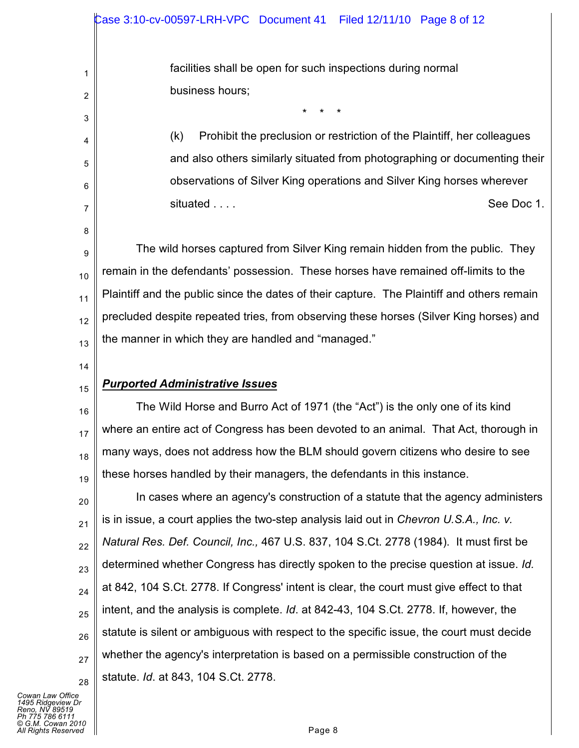facilities shall be open for such inspections during normal business hours;

\* \* \*

(k) Prohibit the preclusion or restriction of the Plaintiff, her colleagues and also others similarly situated from photographing or documenting their observations of Silver King operations and Silver King horses wherever situated . . . . See Doc 1.

9 10 11 12 13 The wild horses captured from Silver King remain hidden from the public. They remain in the defendants' possession. These horses have remained off-limits to the Plaintiff and the public since the dates of their capture. The Plaintiff and others remain precluded despite repeated tries, from observing these horses (Silver King horses) and the manner in which they are handled and "managed."

14

15

1

2

3

4

5

6

7

8

## *Purported Administrative Issues*

16 17 18 19 The Wild Horse and Burro Act of 1971 (the "Act") is the only one of its kind where an entire act of Congress has been devoted to an animal. That Act, thorough in many ways, does not address how the BLM should govern citizens who desire to see these horses handled by their managers, the defendants in this instance.

20 21 22 23 24 25 26 27 28 In cases where an agency's construction of a statute that the agency administers is in issue, a court applies the two-step analysis laid out in *Chevron U.S.A., Inc. v. Natural Res. Def. Council, Inc.,* 467 U.S. 837, 104 S.Ct. 2778 (1984). It must first be determined whether Congress has directly spoken to the precise question at issue. *Id.* at 842, 104 S.Ct. 2778. If Congress' intent is clear, the court must give effect to that intent, and the analysis is complete. *Id*. at 842-43, 104 S.Ct. 2778. If, however, the statute is silent or ambiguous with respect to the specific issue, the court must decide whether the agency's interpretation is based on a permissible construction of the statute. *Id*. at 843, 104 S.Ct. 2778.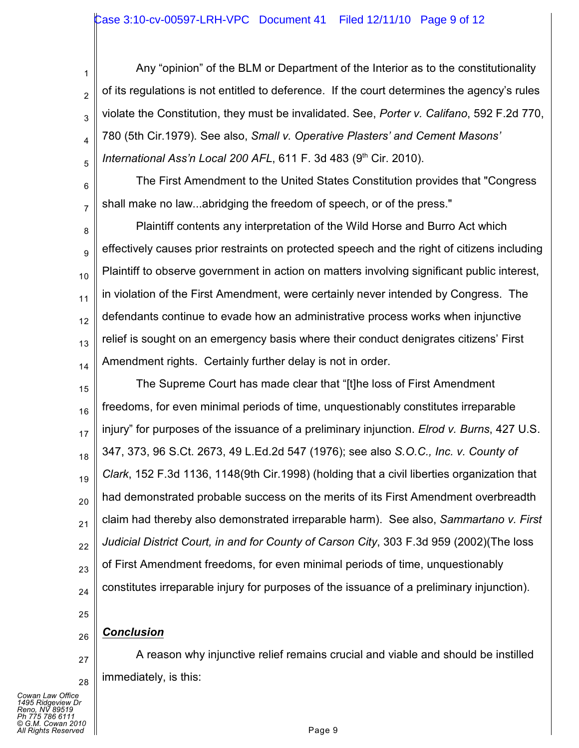3 Any "opinion" of the BLM or Department of the Interior as to the constitutionality of its regulations is not entitled to deference. If the court determines the agency's rules violate the Constitution, they must be invalidated. See, *Porter v. Califano*, 592 F.2d 770, 780 (5th Cir.1979). See also, *Small v. Operative Plasters' and Cement Masons' International Ass'n Local 200 AFL*, 611 F. 3d 483 (9<sup>th</sup> Cir. 2010).

The First Amendment to the United States Constitution provides that "Congress shall make no law...abridging the freedom of speech, or of the press."

8 9 10 11 12 13 14 Plaintiff contents any interpretation of the Wild Horse and Burro Act which effectively causes prior restraints on protected speech and the right of citizens including Plaintiff to observe government in action on matters involving significant public interest, in violation of the First Amendment, were certainly never intended by Congress. The defendants continue to evade how an administrative process works when injunctive relief is sought on an emergency basis where their conduct denigrates citizens' First Amendment rights. Certainly further delay is not in order.

15 16 17 18 19 20 21 22 23 24 The Supreme Court has made clear that "[t]he loss of First Amendment freedoms, for even minimal periods of time, unquestionably constitutes irreparable injury" for purposes of the issuance of a preliminary injunction. *Elrod v. Burns*, 427 U.S. 347, 373, 96 S.Ct. 2673, 49 L.Ed.2d 547 (1976); see also *S.O.C., Inc. v. County of Clark*, 152 F.3d 1136, 1148(9th Cir.1998) (holding that a civil liberties organization that had demonstrated probable success on the merits of its First Amendment overbreadth claim had thereby also demonstrated irreparable harm). See also, *Sammartano v. First Judicial District Court, in and for County of Carson City*, 303 F.3d 959 (2002)(The loss of First Amendment freedoms, for even minimal periods of time, unquestionably constitutes irreparable injury for purposes of the issuance of a preliminary injunction).

25

26

27

28

1

2

4

5

6

7

# *Conclusion*

A reason why injunctive relief remains crucial and viable and should be instilled immediately, is this: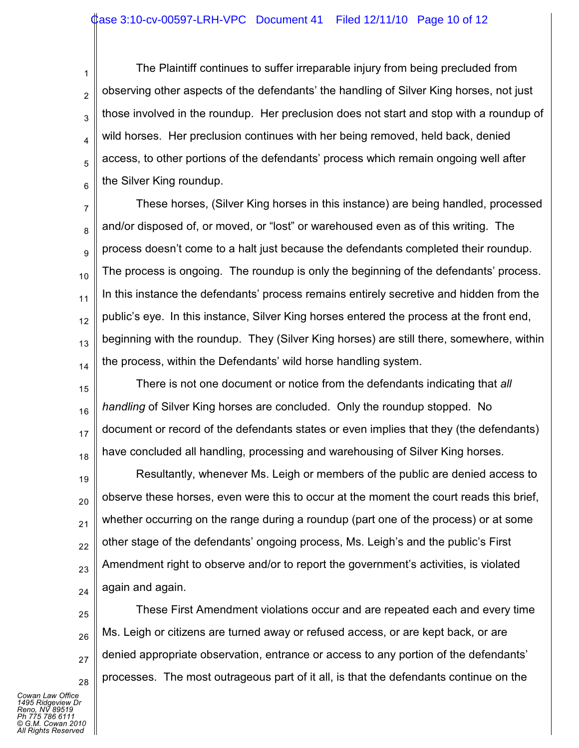1 2 3 4 5 6 The Plaintiff continues to suffer irreparable injury from being precluded from observing other aspects of the defendants' the handling of Silver King horses, not just those involved in the roundup. Her preclusion does not start and stop with a roundup of wild horses. Her preclusion continues with her being removed, held back, denied access, to other portions of the defendants' process which remain ongoing well after the Silver King roundup.

7 8 9 10 11 12 13 14 These horses, (Silver King horses in this instance) are being handled, processed and/or disposed of, or moved, or "lost" or warehoused even as of this writing. The process doesn't come to a halt just because the defendants completed their roundup. The process is ongoing. The roundup is only the beginning of the defendants' process. In this instance the defendants' process remains entirely secretive and hidden from the public's eye. In this instance, Silver King horses entered the process at the front end, beginning with the roundup. They (Silver King horses) are still there, somewhere, within the process, within the Defendants' wild horse handling system.

15 16 17 18 There is not one document or notice from the defendants indicating that *all handling* of Silver King horses are concluded. Only the roundup stopped. No document or record of the defendants states or even implies that they (the defendants) have concluded all handling, processing and warehousing of Silver King horses.

19 20 21 22 23 24 Resultantly, whenever Ms. Leigh or members of the public are denied access to observe these horses, even were this to occur at the moment the court reads this brief, whether occurring on the range during a roundup (part one of the process) or at some other stage of the defendants' ongoing process, Ms. Leigh's and the public's First Amendment right to observe and/or to report the government's activities, is violated again and again.

25 26 27 28 These First Amendment violations occur and are repeated each and every time Ms. Leigh or citizens are turned away or refused access, or are kept back, or are denied appropriate observation, entrance or access to any portion of the defendants' processes. The most outrageous part of it all, is that the defendants continue on the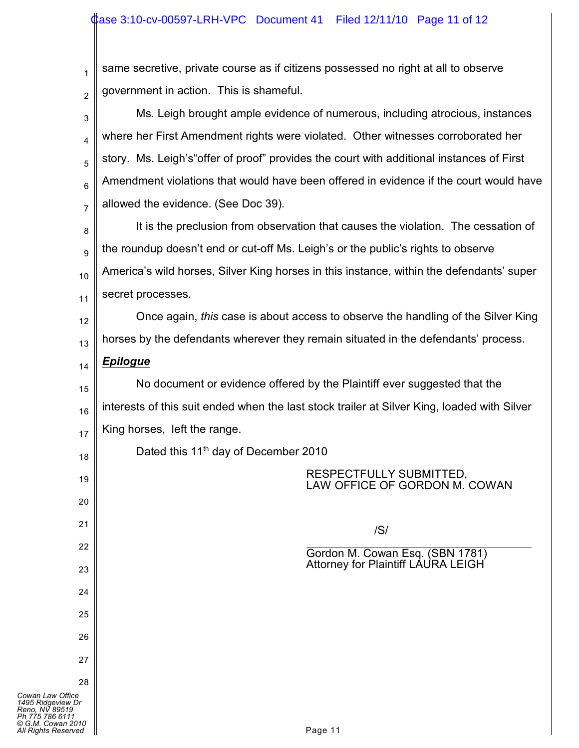1 2 same secretive, private course as if citizens possessed no right at all to observe government in action. This is shameful.

3 4 5 6 7 Ms. Leigh brought ample evidence of numerous, including atrocious, instances where her First Amendment rights were violated. Other witnesses corroborated her story. Ms. Leigh's"offer of proof" provides the court with additional instances of First Amendment violations that would have been offered in evidence if the court would have allowed the evidence. (See Doc 39).

8 9 10 11 It is the preclusion from observation that causes the violation. The cessation of the roundup doesn't end or cut-off Ms. Leigh's or the public's rights to observe America's wild horses, Silver King horses in this instance, within the defendants' super secret processes.

12 13 Once again, *this* case is about access to observe the handling of the Silver King horses by the defendants wherever they remain situated in the defendants' process.

## *Epilogue*

14

18

19

20

21

22

23

24

25

26

27

28

15 16 17 No document or evidence offered by the Plaintiff ever suggested that the interests of this suit ended when the last stock trailer at Silver King, loaded with Silver King horses, left the range.

Dated this 11<sup>th</sup> day of December 2010

### RESPECTFULLY SUBMITTED, LAW OFFICE OF GORDON M. COWAN

/S/

 $\overline{a}$ Gordon M. Cowan Esq. (SBN 1781) Attorney for Plaintiff LAURA LEIGH